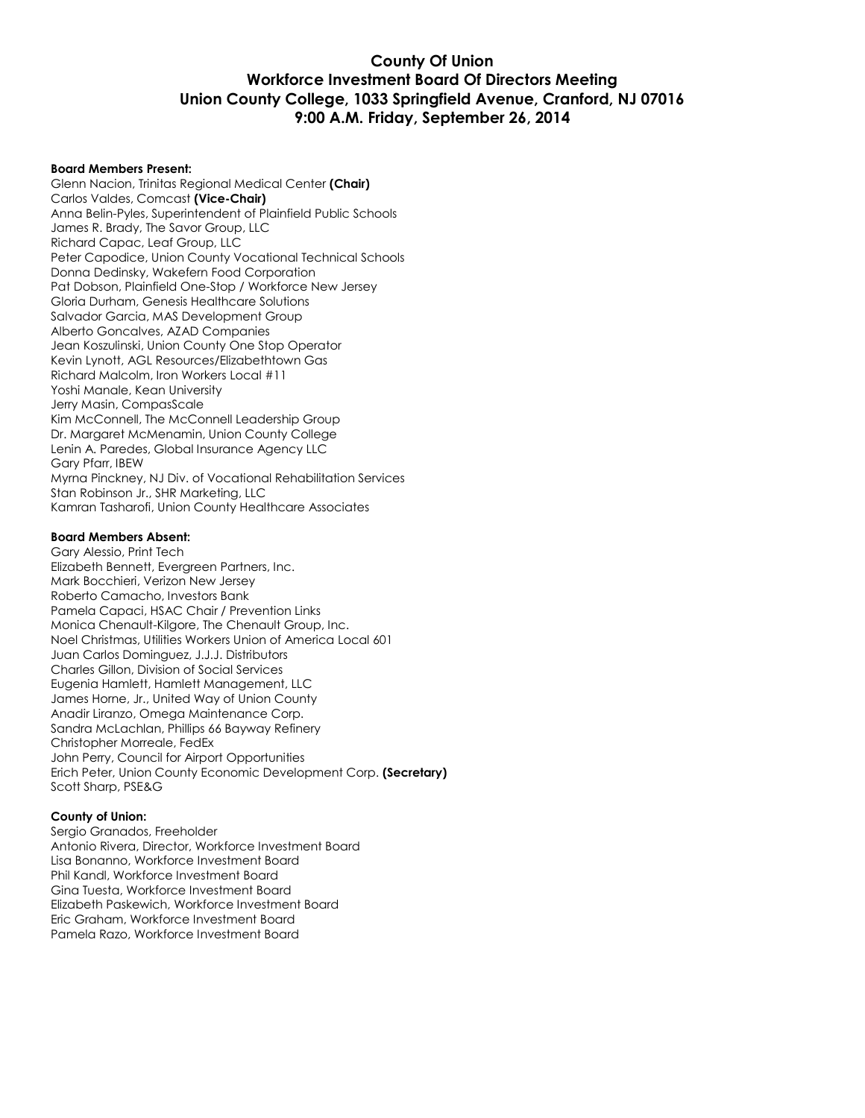## **County Of Union Workforce Investment Board Of Directors Meeting Union County College, 1033 Springfield Avenue, Cranford, NJ 07016 9:00 A.M. Friday, September 26, 2014**

#### **Board Members Present:**

Glenn Nacion, Trinitas Regional Medical Center **(Chair)** Carlos Valdes, Comcast **(Vice-Chair)** Anna Belin-Pyles, Superintendent of Plainfield Public Schools James R. Brady, The Savor Group, LLC Richard Capac, Leaf Group, LLC Peter Capodice, Union County Vocational Technical Schools Donna Dedinsky, Wakefern Food Corporation Pat Dobson, Plainfield One-Stop / Workforce New Jersey Gloria Durham, Genesis Healthcare Solutions Salvador Garcia, MAS Development Group Alberto Goncalves, AZAD Companies Jean Koszulinski, Union County One Stop Operator Kevin Lynott, AGL Resources/Elizabethtown Gas Richard Malcolm, Iron Workers Local #11 Yoshi Manale, Kean University Jerry Masin, CompasScale Kim McConnell, The McConnell Leadership Group Dr. Margaret McMenamin, Union County College Lenin A. Paredes, Global Insurance Agency LLC Gary Pfarr, IBEW Myrna Pinckney, NJ Div. of Vocational Rehabilitation Services Stan Robinson Jr., SHR Marketing, LLC Kamran Tasharofi, Union County Healthcare Associates

### **Board Members Absent:**

Gary Alessio, Print Tech Elizabeth Bennett, Evergreen Partners, Inc. Mark Bocchieri, Verizon New Jersey Roberto Camacho, Investors Bank Pamela Capaci, HSAC Chair / Prevention Links Monica Chenault-Kilgore, The Chenault Group, Inc. Noel Christmas, Utilities Workers Union of America Local 601 Juan Carlos Dominguez, J.J.J. Distributors Charles Gillon, Division of Social Services Eugenia Hamlett, Hamlett Management, LLC James Horne, Jr., United Way of Union County Anadir Liranzo, Omega Maintenance Corp. Sandra McLachlan, Phillips 66 Bayway Refinery Christopher Morreale, FedEx John Perry, Council for Airport Opportunities Erich Peter, Union County Economic Development Corp. **(Secretary)** Scott Sharp, PSE&G

#### **County of Union:**

Sergio Granados, Freeholder Antonio Rivera, Director, Workforce Investment Board Lisa Bonanno, Workforce Investment Board Phil Kandl, Workforce Investment Board Gina Tuesta, Workforce Investment Board Elizabeth Paskewich, Workforce Investment Board Eric Graham, Workforce Investment Board Pamela Razo, Workforce Investment Board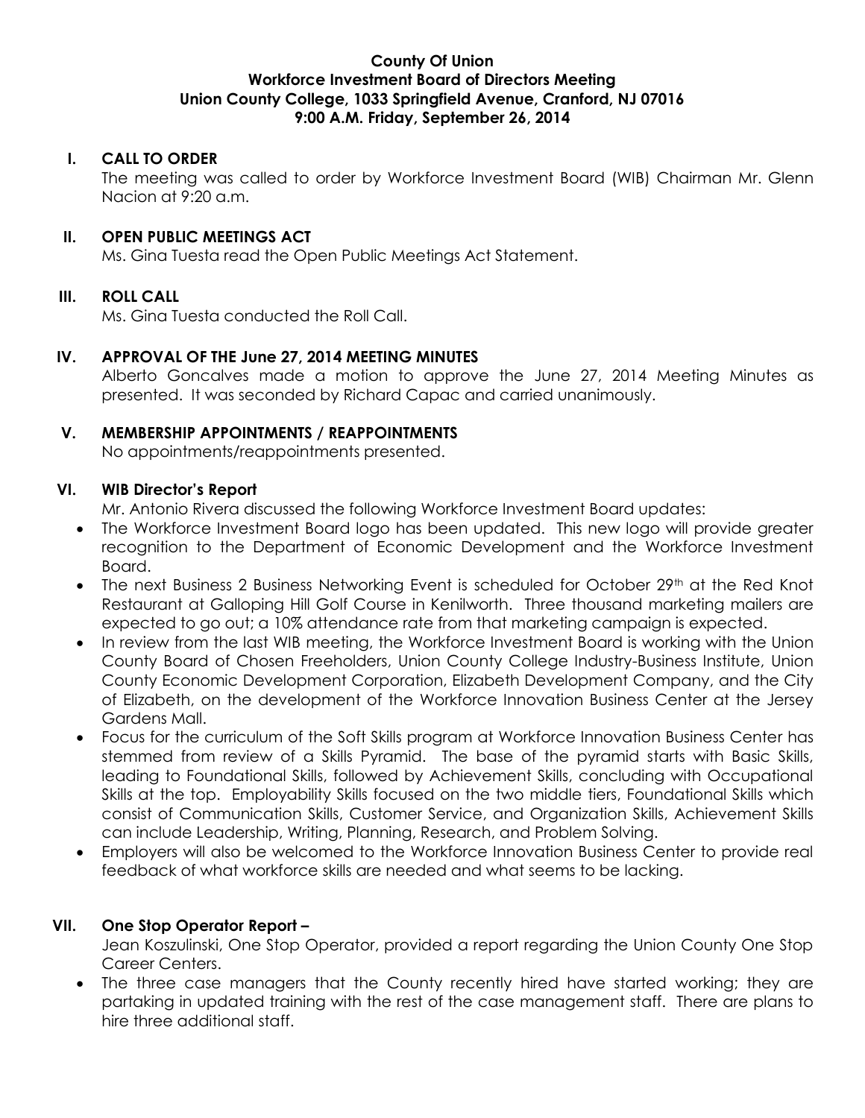## **County Of Union Workforce Investment Board of Directors Meeting Union County College, 1033 Springfield Avenue, Cranford, NJ 07016 9:00 A.M. Friday, September 26, 2014**

# **I. CALL TO ORDER**

The meeting was called to order by Workforce Investment Board (WIB) Chairman Mr. Glenn Nacion at 9:20 a.m.

# **II. OPEN PUBLIC MEETINGS ACT**

Ms. Gina Tuesta read the Open Public Meetings Act Statement.

# **III. ROLL CALL**

Ms. Gina Tuesta conducted the Roll Call.

# **IV. APPROVAL OF THE June 27, 2014 MEETING MINUTES**

Alberto Goncalves made a motion to approve the June 27, 2014 Meeting Minutes as presented. It was seconded by Richard Capac and carried unanimously.

## **V. MEMBERSHIP APPOINTMENTS / REAPPOINTMENTS**

No appointments/reappointments presented.

# **VI. WIB Director's Report**

Mr. Antonio Rivera discussed the following Workforce Investment Board updates:

- The Workforce Investment Board logo has been updated. This new logo will provide greater recognition to the Department of Economic Development and the Workforce Investment Board.
- The next Business 2 Business Networking Event is scheduled for October 29<sup>th</sup> at the Red Knot Restaurant at Galloping Hill Golf Course in Kenilworth. Three thousand marketing mailers are expected to go out; a 10% attendance rate from that marketing campaign is expected.
- In review from the last WIB meeting, the Workforce Investment Board is working with the Union County Board of Chosen Freeholders, Union County College Industry-Business Institute, Union County Economic Development Corporation, Elizabeth Development Company, and the City of Elizabeth, on the development of the Workforce Innovation Business Center at the Jersey Gardens Mall.
- Focus for the curriculum of the Soft Skills program at Workforce Innovation Business Center has stemmed from review of a Skills Pyramid. The base of the pyramid starts with Basic Skills, leading to Foundational Skills, followed by Achievement Skills, concluding with Occupational Skills at the top. Employability Skills focused on the two middle tiers, Foundational Skills which consist of Communication Skills, Customer Service, and Organization Skills, Achievement Skills can include Leadership, Writing, Planning, Research, and Problem Solving.
- Employers will also be welcomed to the Workforce Innovation Business Center to provide real feedback of what workforce skills are needed and what seems to be lacking.

# **VII. One Stop Operator Report –**

Jean Koszulinski, One Stop Operator, provided a report regarding the Union County One Stop Career Centers.

• The three case managers that the County recently hired have started working; they are partaking in updated training with the rest of the case management staff. There are plans to hire three additional staff.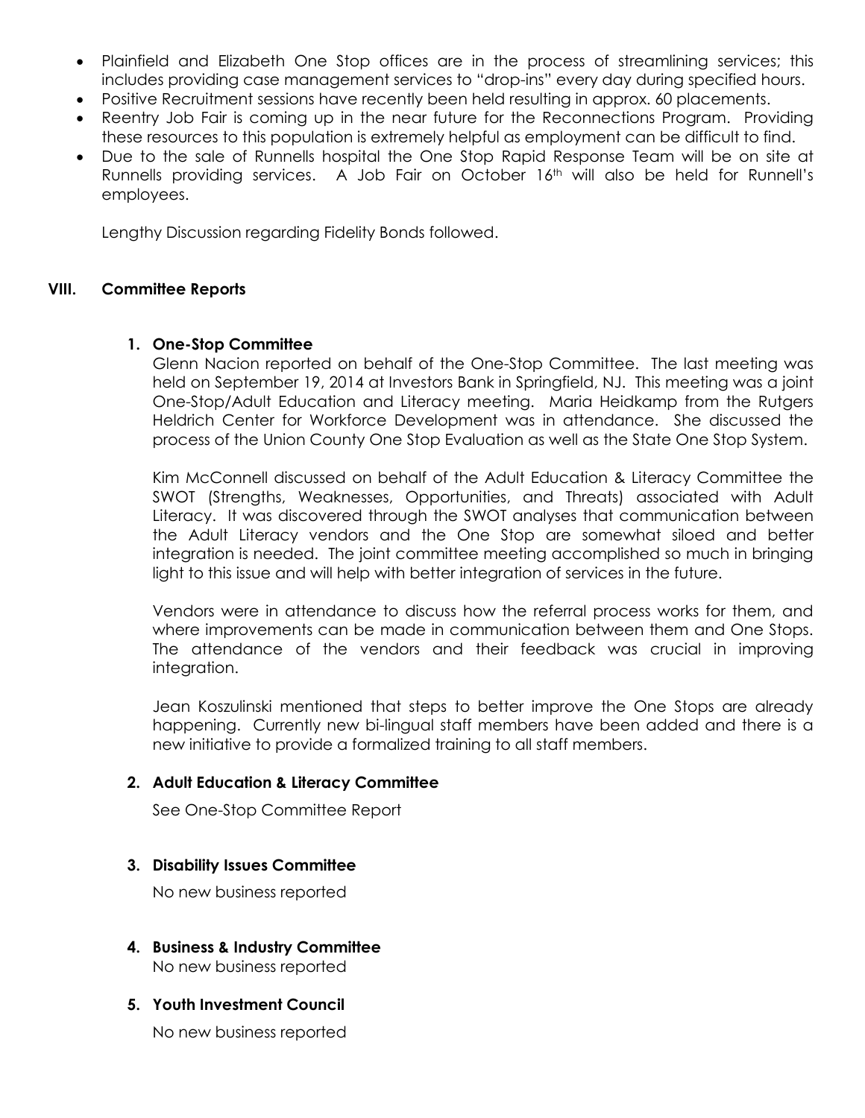- Plainfield and Elizabeth One Stop offices are in the process of streamlining services; this includes providing case management services to "drop-ins" every day during specified hours.
- Positive Recruitment sessions have recently been held resulting in approx. 60 placements.
- Reentry Job Fair is coming up in the near future for the Reconnections Program. Providing these resources to this population is extremely helpful as employment can be difficult to find.
- Due to the sale of Runnells hospital the One Stop Rapid Response Team will be on site at Runnells providing services. A Job Fair on October 16<sup>th</sup> will also be held for Runnell's employees.

Lengthy Discussion regarding Fidelity Bonds followed.

## **VIII. Committee Reports**

# **1. One-Stop Committee**

Glenn Nacion reported on behalf of the One-Stop Committee. The last meeting was held on September 19, 2014 at Investors Bank in Springfield, NJ. This meeting was a joint One-Stop/Adult Education and Literacy meeting. Maria Heidkamp from the Rutgers Heldrich Center for Workforce Development was in attendance. She discussed the process of the Union County One Stop Evaluation as well as the State One Stop System.

Kim McConnell discussed on behalf of the Adult Education & Literacy Committee the SWOT (Strengths, Weaknesses, Opportunities, and Threats) associated with Adult Literacy. It was discovered through the SWOT analyses that communication between the Adult Literacy vendors and the One Stop are somewhat siloed and better integration is needed. The joint committee meeting accomplished so much in bringing light to this issue and will help with better integration of services in the future.

Vendors were in attendance to discuss how the referral process works for them, and where improvements can be made in communication between them and One Stops. The attendance of the vendors and their feedback was crucial in improving integration.

Jean Koszulinski mentioned that steps to better improve the One Stops are already happening. Currently new bi-lingual staff members have been added and there is a new initiative to provide a formalized training to all staff members.

## **2. Adult Education & Literacy Committee**

See One-Stop Committee Report

## **3. Disability Issues Committee**

No new business reported

**4. Business & Industry Committee** No new business reported

## **5. Youth Investment Council**

No new business reported